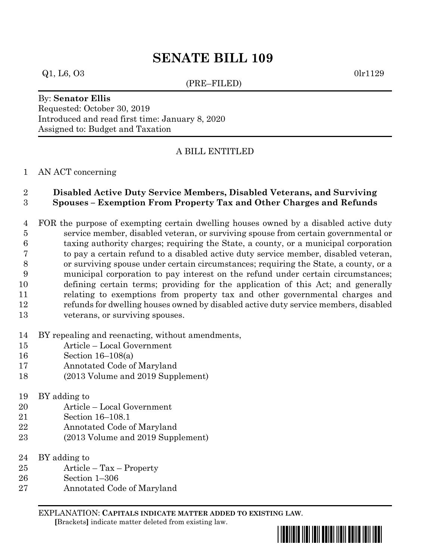# **SENATE BILL 109**

### $Q1, L6, O3$  0lr1129

(PRE–FILED)

## By: **Senator Ellis** Requested: October 30, 2019 Introduced and read first time: January 8, 2020 Assigned to: Budget and Taxation

## A BILL ENTITLED

#### AN ACT concerning

## **Disabled Active Duty Service Members, Disabled Veterans, and Surviving Spouses – Exemption From Property Tax and Other Charges and Refunds**

 FOR the purpose of exempting certain dwelling houses owned by a disabled active duty service member, disabled veteran, or surviving spouse from certain governmental or taxing authority charges; requiring the State, a county, or a municipal corporation to pay a certain refund to a disabled active duty service member, disabled veteran, or surviving spouse under certain circumstances; requiring the State, a county, or a municipal corporation to pay interest on the refund under certain circumstances; defining certain terms; providing for the application of this Act; and generally relating to exemptions from property tax and other governmental charges and refunds for dwelling houses owned by disabled active duty service members, disabled veterans, or surviving spouses.

BY repealing and reenacting, without amendments,

- Article Local Government
- Section 16–108(a)
- Annotated Code of Maryland
- (2013 Volume and 2019 Supplement)
- BY adding to
- Article Local Government
- Section 16–108.1
- Annotated Code of Maryland
- (2013 Volume and 2019 Supplement)
- BY adding to
- Article Tax Property
- Section 1–306
- Annotated Code of Maryland

EXPLANATION: **CAPITALS INDICATE MATTER ADDED TO EXISTING LAW**.  **[**Brackets**]** indicate matter deleted from existing law.

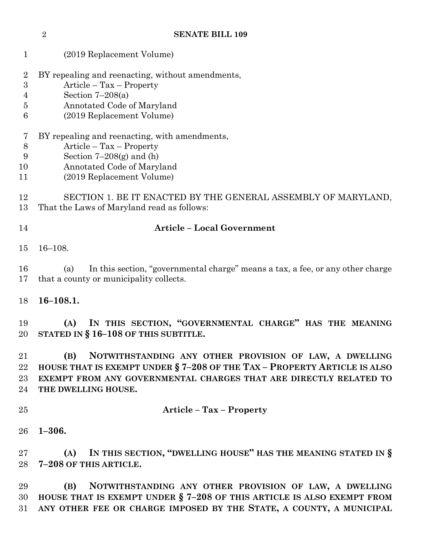| $\mathbf{1}$                                                                | (2019 Replacement Volume)                                                                                                                                                                                                             |  |  |  |  |
|-----------------------------------------------------------------------------|---------------------------------------------------------------------------------------------------------------------------------------------------------------------------------------------------------------------------------------|--|--|--|--|
| $\overline{2}$<br>$\boldsymbol{3}$<br>$\overline{4}$<br>$\overline{5}$<br>6 | BY repealing and reenacting, without amendments,<br>$Article - Tax - Property$<br>Section $7-208(a)$<br>Annotated Code of Maryland<br>(2019 Replacement Volume)                                                                       |  |  |  |  |
| 7<br>8<br>9<br>10<br>11                                                     | BY repealing and reenacting, with amendments,<br>$Article - Tax - Property$<br>Section $7-208(g)$ and (h)<br>Annotated Code of Maryland<br>(2019 Replacement Volume)                                                                  |  |  |  |  |
| 12<br>13                                                                    | SECTION 1. BE IT ENACTED BY THE GENERAL ASSEMBLY OF MARYLAND,<br>That the Laws of Maryland read as follows:                                                                                                                           |  |  |  |  |
| 14                                                                          | <b>Article - Local Government</b>                                                                                                                                                                                                     |  |  |  |  |
| 15                                                                          | $16 - 108.$                                                                                                                                                                                                                           |  |  |  |  |
| 16<br>17                                                                    | In this section, "governmental charge" means a tax, a fee, or any other charge<br>(a)<br>that a county or municipality collects.                                                                                                      |  |  |  |  |
| 18                                                                          | $16 - 108.1.$                                                                                                                                                                                                                         |  |  |  |  |
| 19<br>20                                                                    | IN THIS SECTION, "GOVERNMENTAL CHARGE" HAS THE MEANING<br>(A)<br>STATED IN $§$ 16-108 OF THIS SUBTITLE.                                                                                                                               |  |  |  |  |
| 21<br>22<br>$23\,$<br>24                                                    | (B)<br>NOTWITHSTANDING ANY OTHER PROVISION OF LAW, A DWELLING<br>HOUSE THAT IS EXEMPT UNDER § 7-208 OF THE TAX - PROPERTY ARTICLE IS ALSO<br>EXEMPT FROM ANY GOVERNMENTAL CHARGES THAT ARE DIRECTLY RELATED TO<br>THE DWELLING HOUSE. |  |  |  |  |
| 25                                                                          | <b>Article - Tax - Property</b>                                                                                                                                                                                                       |  |  |  |  |
| 26                                                                          | $1 - 306.$                                                                                                                                                                                                                            |  |  |  |  |
| $27\,$<br>28                                                                | IN THIS SECTION, "DWELLING HOUSE" HAS THE MEANING STATED IN §<br>(A)<br>7-208 OF THIS ARTICLE.                                                                                                                                        |  |  |  |  |

**SENATE BILL 109**

 **(B) NOTWITHSTANDING ANY OTHER PROVISION OF LAW, A DWELLING HOUSE THAT IS EXEMPT UNDER § 7–208 OF THIS ARTICLE IS ALSO EXEMPT FROM ANY OTHER FEE OR CHARGE IMPOSED BY THE STATE, A COUNTY, A MUNICIPAL**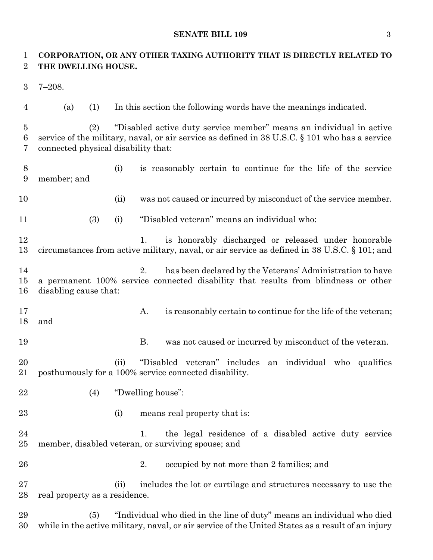#### **SENATE BILL 109** 3

## **CORPORATION, OR ANY OTHER TAXING AUTHORITY THAT IS DIRECTLY RELATED TO THE DWELLING HOUSE.**

- 7–208.
- 

(a) (1) In this section the following words have the meanings indicated.

 (2) "Disabled active duty service member" means an individual in active service of the military, naval, or air service as defined in 38 U.S.C. § 101 who has a service connected physical disability that:

- (i) is reasonably certain to continue for the life of the service member; and
- 
- (ii) was not caused or incurred by misconduct of the service member.
- (3) (i) "Disabled veteran" means an individual who:

 1. is honorably discharged or released under honorable circumstances from active military, naval, or air service as defined in 38 U.S.C. § 101; and

- 2. has been declared by the Veterans' Administration to have a permanent 100% service connected disability that results from blindness or other disabling cause that:
- 17 A. is reasonably certain to continue for the life of the veteran; and
- 

19 B. was not caused or incurred by misconduct of the veteran.

 (ii) "Disabled veteran" includes an individual who qualifies posthumously for a 100% service connected disability.

- (4) "Dwelling house":
- 
- 
- 23 (i) means real property that is:

24 1. the legal residence of a disabled active duty service member, disabled veteran, or surviving spouse; and

26 2. occupied by not more than 2 families; and

 (ii) includes the lot or curtilage and structures necessary to use the real property as a residence.

 (5) "Individual who died in the line of duty" means an individual who died while in the active military, naval, or air service of the United States as a result of an injury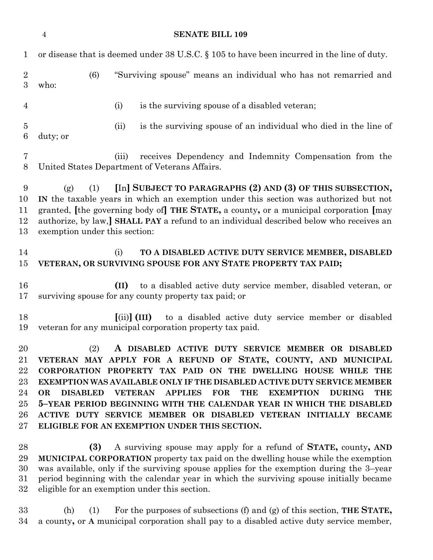|                                                          | $\overline{4}$                                                                                                                                                                                                                                                                                                                                                                        |     |                              | <b>SENATE BILL 109</b>                                                                                                                                                                                                                                                                                                                                                                                                                                                                                                                                              |  |
|----------------------------------------------------------|---------------------------------------------------------------------------------------------------------------------------------------------------------------------------------------------------------------------------------------------------------------------------------------------------------------------------------------------------------------------------------------|-----|------------------------------|---------------------------------------------------------------------------------------------------------------------------------------------------------------------------------------------------------------------------------------------------------------------------------------------------------------------------------------------------------------------------------------------------------------------------------------------------------------------------------------------------------------------------------------------------------------------|--|
| $\mathbf{1}$                                             | or disease that is deemed under 38 U.S.C. § 105 to have been incurred in the line of duty.                                                                                                                                                                                                                                                                                            |     |                              |                                                                                                                                                                                                                                                                                                                                                                                                                                                                                                                                                                     |  |
| $\overline{2}$<br>3                                      | who:                                                                                                                                                                                                                                                                                                                                                                                  | (6) |                              | "Surviving spouse" means an individual who has not remarried and                                                                                                                                                                                                                                                                                                                                                                                                                                                                                                    |  |
| $\overline{4}$                                           |                                                                                                                                                                                                                                                                                                                                                                                       |     | (i)                          | is the surviving spouse of a disabled veteran;                                                                                                                                                                                                                                                                                                                                                                                                                                                                                                                      |  |
| $\bf 5$<br>$6\phantom{.}6$                               | duty; or                                                                                                                                                                                                                                                                                                                                                                              |     | (ii)                         | is the surviving spouse of an individual who died in the line of                                                                                                                                                                                                                                                                                                                                                                                                                                                                                                    |  |
| 7<br>8                                                   |                                                                                                                                                                                                                                                                                                                                                                                       |     | (iii)                        | receives Dependency and Indemnity Compensation from the<br>United States Department of Veterans Affairs.                                                                                                                                                                                                                                                                                                                                                                                                                                                            |  |
| 9<br>10<br>11<br>12<br>13                                | [In] SUBJECT TO PARAGRAPHS (2) AND (3) OF THIS SUBSECTION,<br>(1)<br>(g)<br>IN the taxable years in which an exemption under this section was authorized but not<br>granted, [the governing body of] THE STATE, a county, or a municipal corporation [may<br>authorize, by law,] SHALL PAY a refund to an individual described below who receives an<br>exemption under this section: |     |                              |                                                                                                                                                                                                                                                                                                                                                                                                                                                                                                                                                                     |  |
| 14<br>15                                                 |                                                                                                                                                                                                                                                                                                                                                                                       |     | (i)                          | TO A DISABLED ACTIVE DUTY SERVICE MEMBER, DISABLED<br>VETERAN, OR SURVIVING SPOUSE FOR ANY STATE PROPERTY TAX PAID;                                                                                                                                                                                                                                                                                                                                                                                                                                                 |  |
| 16<br>17                                                 |                                                                                                                                                                                                                                                                                                                                                                                       |     | (II)                         | to a disabled active duty service member, disabled veteran, or<br>surviving spouse for any county property tax paid; or                                                                                                                                                                                                                                                                                                                                                                                                                                             |  |
| 18<br>19                                                 |                                                                                                                                                                                                                                                                                                                                                                                       |     | $\lceil$ (ii) $\rceil$ (III) | to a disabled active duty service member or disabled<br>veteran for any municipal corporation property tax paid.                                                                                                                                                                                                                                                                                                                                                                                                                                                    |  |
| 20<br>21<br>22<br>$23\,$<br>24<br>$25\,$<br>26<br>$27\,$ | <b>DISABLED</b><br><b>OR</b>                                                                                                                                                                                                                                                                                                                                                          | (2) | <b>VETERAN</b>               | A DISABLED ACTIVE DUTY SERVICE MEMBER OR DISABLED<br>VETERAN MAY APPLY FOR A REFUND OF STATE, COUNTY, AND MUNICIPAL<br>CORPORATION PROPERTY TAX PAID ON THE DWELLING HOUSE WHILE THE<br><b>EXEMPTION WAS AVAILABLE ONLY IF THE DISABLED ACTIVE DUTY SERVICE MEMBER</b><br><b>APPLIES</b><br><b>FOR</b><br><b>THE</b><br><b>EXEMPTION</b><br><b>DURING</b><br><b>THE</b><br>5-YEAR PERIOD BEGINNING WITH THE CALENDAR YEAR IN WHICH THE DISABLED<br>ACTIVE DUTY SERVICE MEMBER OR DISABLED VETERAN INITIALLY BECAME<br>ELIGIBLE FOR AN EXEMPTION UNDER THIS SECTION. |  |
| 28<br>29<br>30<br>$31\,$<br>$32\,$                       |                                                                                                                                                                                                                                                                                                                                                                                       | (3) |                              | A surviving spouse may apply for a refund of <b>STATE</b> , county, AND<br>MUNICIPAL CORPORATION property tax paid on the dwelling house while the exemption<br>was available, only if the surviving spouse applies for the exemption during the 3-year<br>period beginning with the calendar year in which the surviving spouse initially became<br>eligible for an exemption under this section.                                                                                                                                                                  |  |

 (h) (1) For the purposes of subsections (f) and (g) of this section, **THE STATE,** a county**,** or **A** municipal corporation shall pay to a disabled active duty service member,